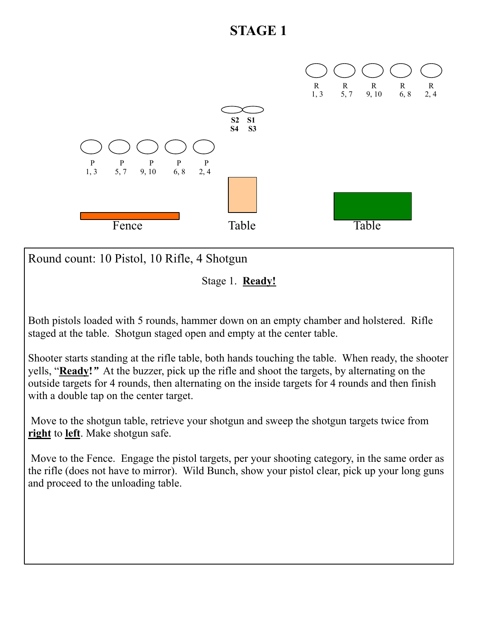

Round count: 10 Pistol, 10 Rifle, 4 Shotgun

Stage 1. **Ready!** 

Both pistols loaded with 5 rounds, hammer down on an empty chamber and holstered. Rifle staged at the table. Shotgun staged open and empty at the center table.

Shooter starts standing at the rifle table, both hands touching the table. When ready, the shooter yells, "**Ready!***"* At the buzzer, pick up the rifle and shoot the targets, by alternating on the outside targets for 4 rounds, then alternating on the inside targets for 4 rounds and then finish with a double tap on the center target.

 Move to the shotgun table, retrieve your shotgun and sweep the shotgun targets twice from **right** to **left**. Make shotgun safe.

 Move to the Fence. Engage the pistol targets, per your shooting category, in the same order as the rifle (does not have to mirror). Wild Bunch, show your pistol clear, pick up your long guns and proceed to the unloading table.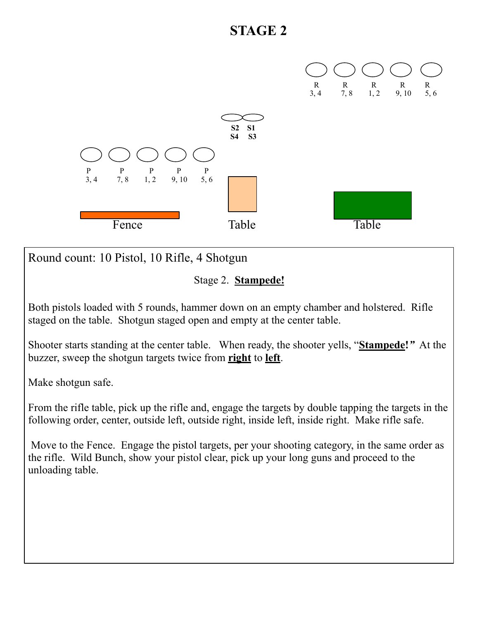

Round count: 10 Pistol, 10 Rifle, 4 Shotgun

Stage 2. **Stampede!** 

Both pistols loaded with 5 rounds, hammer down on an empty chamber and holstered. Rifle staged on the table. Shotgun staged open and empty at the center table.

Shooter starts standing at the center table. When ready, the shooter yells, "**Stampede!***"* At the buzzer, sweep the shotgun targets twice from **right** to **left**.

Make shotgun safe.

From the rifle table, pick up the rifle and, engage the targets by double tapping the targets in the following order, center, outside left, outside right, inside left, inside right. Make rifle safe.

 Move to the Fence. Engage the pistol targets, per your shooting category, in the same order as the rifle. Wild Bunch, show your pistol clear, pick up your long guns and proceed to the unloading table.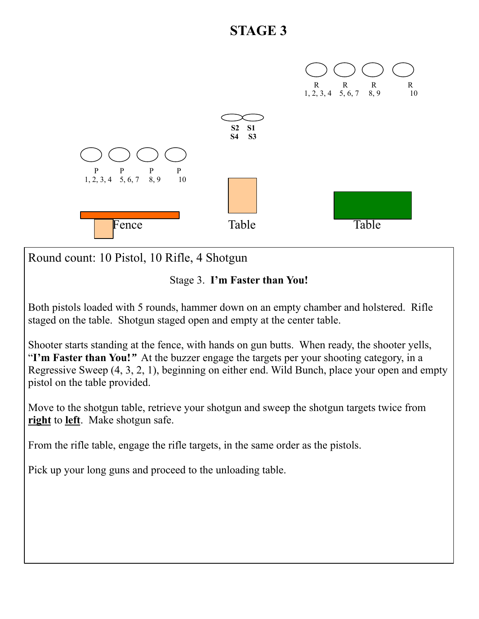

Round count: 10 Pistol, 10 Rifle, 4 Shotgun

Stage 3. **I'm Faster than You!**

Both pistols loaded with 5 rounds, hammer down on an empty chamber and holstered. Rifle staged on the table. Shotgun staged open and empty at the center table.

Shooter starts standing at the fence, with hands on gun butts. When ready, the shooter yells, "**I'm Faster than You!***"* At the buzzer engage the targets per your shooting category, in a Regressive Sweep (4, 3, 2, 1), beginning on either end. Wild Bunch, place your open and empty pistol on the table provided.

Move to the shotgun table, retrieve your shotgun and sweep the shotgun targets twice from **right** to **left**. Make shotgun safe.

From the rifle table, engage the rifle targets, in the same order as the pistols.

Pick up your long guns and proceed to the unloading table.